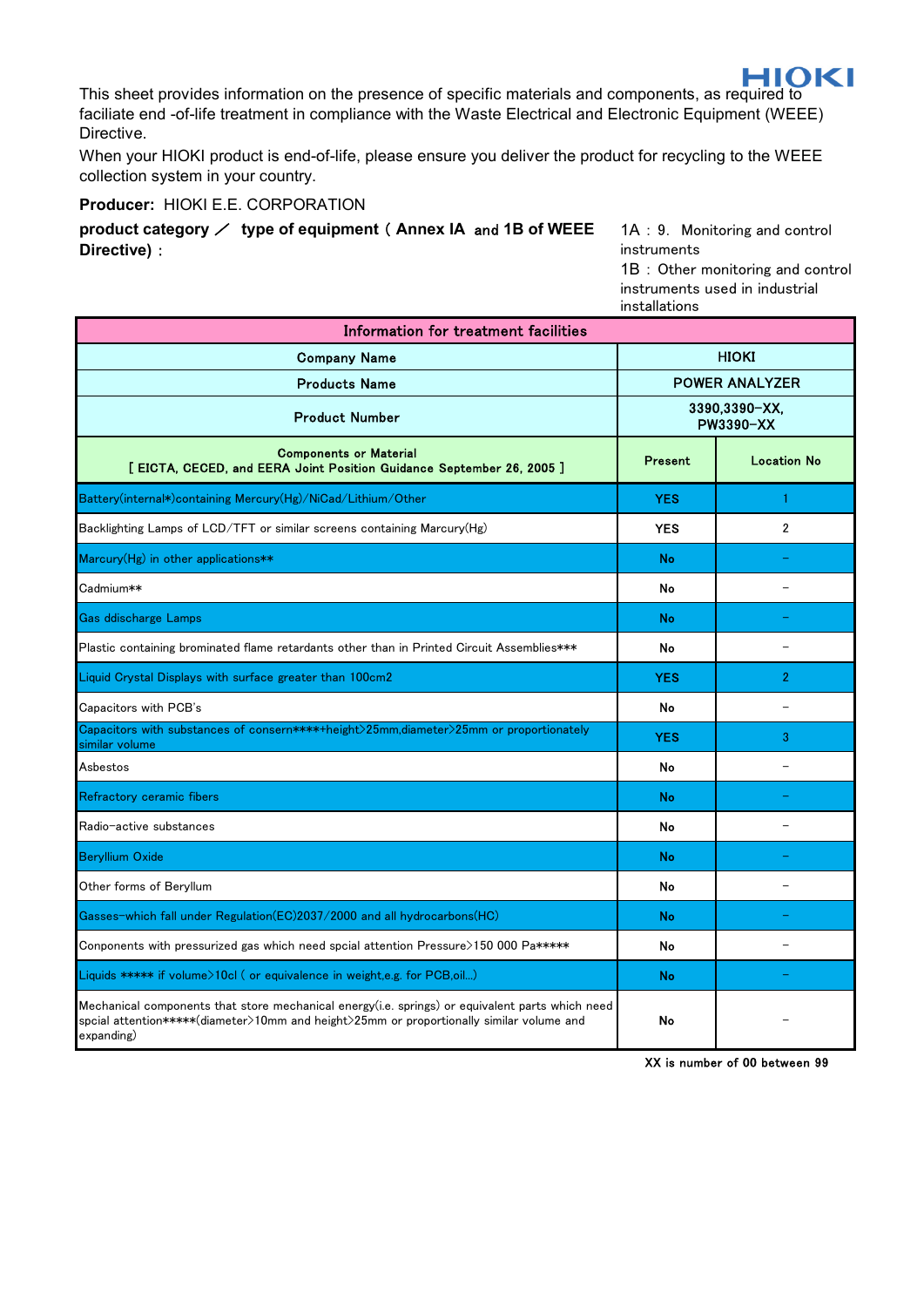This sheet provides information on the presence of specific materials and components, as required to faciliate end -of-life treatment in compliance with the Waste Electrical and Electronic Equipment (WEEE) Directive.

When your HIOKI product is end-of-life, please ensure you deliver the product for recycling to the WEEE collection system in your country.

**Producer:** HIOKI E.E. CORPORATION

**product category** / **type of equipment** ( **Annex IA** and **1B of WEEE Directive)** :

1A : 9. Monitoring and control instruments 1B : Other monitoring and control

instruments used in industrial installations

| Information for treatment facilities                                                                                                                                                                      |                                   |                    |
|-----------------------------------------------------------------------------------------------------------------------------------------------------------------------------------------------------------|-----------------------------------|--------------------|
| <b>Company Name</b>                                                                                                                                                                                       | <b>HIOKI</b>                      |                    |
| <b>Products Name</b>                                                                                                                                                                                      | <b>POWER ANALYZER</b>             |                    |
| <b>Product Number</b>                                                                                                                                                                                     | 3390,3390-XX,<br><b>PW3390-XX</b> |                    |
| <b>Components or Material</b><br>[ EICTA, CECED, and EERA Joint Position Guidance September 26, 2005 ]                                                                                                    | Present                           | <b>Location No</b> |
| Battery(internal*)containing Mercury(Hg)/NiCad/Lithium/Other                                                                                                                                              | <b>YES</b>                        | 1                  |
| Backlighting Lamps of LCD/TFT or similar screens containing Marcury(Hg)                                                                                                                                   | <b>YES</b>                        | $\mathfrak{p}$     |
| Marcury(Hg) in other applications**                                                                                                                                                                       | <b>No</b>                         |                    |
| Cadmium**                                                                                                                                                                                                 | No                                |                    |
| <b>Gas ddischarge Lamps</b>                                                                                                                                                                               | <b>No</b>                         |                    |
| Plastic containing brominated flame retardants other than in Printed Circuit Assemblies***                                                                                                                | No                                |                    |
| Liquid Crystal Displays with surface greater than 100cm2                                                                                                                                                  | <b>YES</b>                        | $\mathcal{P}$      |
| Capacitors with PCB's                                                                                                                                                                                     | No                                |                    |
| Capacitors with substances of consern****+height>25mm,diameter>25mm or proportionately<br>similar volume                                                                                                  | <b>YES</b>                        | 3                  |
| Asbestos                                                                                                                                                                                                  | No                                |                    |
| Refractory ceramic fibers                                                                                                                                                                                 | No                                |                    |
| Radio-active substances                                                                                                                                                                                   | No                                |                    |
| <b>Beryllium Oxide</b>                                                                                                                                                                                    | No                                |                    |
| Other forms of Beryllum                                                                                                                                                                                   | No                                |                    |
| Gasses-which fall under Regulation(EC)2037/2000 and all hydrocarbons(HC)                                                                                                                                  | <b>No</b>                         |                    |
| Conponents with pressurized gas which need spcial attention Pressure>150 000 Pa*****                                                                                                                      | No                                |                    |
| Liquids ***** if volume>10cl ( or equivalence in weight.e.g. for PCB.oil)                                                                                                                                 | No                                |                    |
| Mechanical components that store mechanical energy(i.e. springs) or equivalent parts which need<br>spcial attention*****(diameter>10mm and height>25mm or proportionally similar volume and<br>expanding) | No                                |                    |

XX is number of 00 between 99